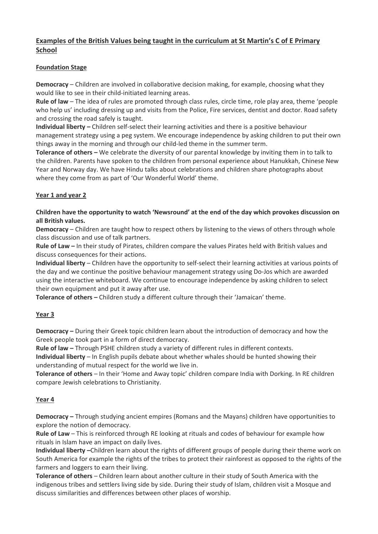# Examples of the British Values being taught in the curriculum at St Martin's C of E Primary School

### Foundation Stage

Democracy – Children are involved in collaborative decision making, for example, choosing what they would like to see in their child-initiated learning areas.

Rule of law – The idea of rules are promoted through class rules, circle time, role play area, theme 'people who help us' including dressing up and visits from the Police, Fire services, dentist and doctor. Road safety and crossing the road safely is taught.

Individual liberty – Children self-select their learning activities and there is a positive behaviour management strategy using a peg system. We encourage independence by asking children to put their own things away in the morning and through our child-led theme in the summer term.

Tolerance of others – We celebrate the diversity of our parental knowledge by inviting them in to talk to the children. Parents have spoken to the children from personal experience about Hanukkah, Chinese New Year and Norway day. We have Hindu talks about celebrations and children share photographs about where they come from as part of 'Our Wonderful World' theme.

## Year 1 and year 2

### Children have the opportunity to watch 'Newsround' at the end of the day which provokes discussion on all British values.

**Democracy** – Children are taught how to respect others by listening to the views of others through whole class discussion and use of talk partners.

Rule of Law – In their study of Pirates, children compare the values Pirates held with British values and discuss consequences for their actions.

Individual liberty – Children have the opportunity to self-select their learning activities at various points of the day and we continue the positive behaviour management strategy using Do-Jos which are awarded using the interactive whiteboard. We continue to encourage independence by asking children to select their own equipment and put it away after use.

Tolerance of others – Children study a different culture through their 'Jamaican' theme.

### Year 3

Democracy – During their Greek topic children learn about the introduction of democracy and how the Greek people took part in a form of direct democracy.

Rule of law – Through PSHE children study a variety of different rules in different contexts.

Individual liberty – In English pupils debate about whether whales should be hunted showing their understanding of mutual respect for the world we live in.

Tolerance of others – In their 'Home and Away topic' children compare India with Dorking. In RE children compare Jewish celebrations to Christianity.

### Year 4

Democracy – Through studying ancient empires (Romans and the Mayans) children have opportunities to explore the notion of democracy.

Rule of Law – This is reinforced through RE looking at rituals and codes of behaviour for example how rituals in Islam have an impact on daily lives.

Individual liberty –Children learn about the rights of different groups of people during their theme work on South America for example the rights of the tribes to protect their rainforest as opposed to the rights of the farmers and loggers to earn their living.

Tolerance of others – Children learn about another culture in their study of South America with the indigenous tribes and settlers living side by side. During their study of Islam, children visit a Mosque and discuss similarities and differences between other places of worship.